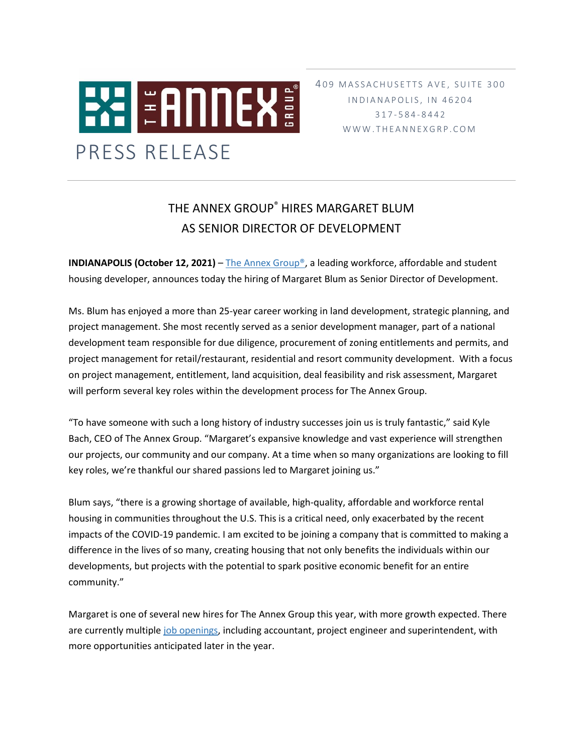

I N D I A N A P O L I S, I N 4 6 2 0 4 317 - 5 8 4 - 8 4 4 2 W W W . T H E A N N E X G R P . C O M

## THE ANNEX GROUP® HIRES MARGARET BLUM AS SENIOR DIRECTOR OF DEVELOPMENT

**INDIANAPOLIS (October 12, 2021)** – The Annex Group<sup>®</sup>, a leading workforce, affordable and student housing developer, announces today the hiring of Margaret Blum as Senior Director of Development.

Ms. Blum has enjoyed a more than 25-year career working in land development, strategic planning, and project management. She most recently served as a senior development manager, part of a national development team responsible for due diligence, procurement of zoning entitlements and permits, and project management for retail/restaurant, residential and resort community development. With a focus on project management, entitlement, land acquisition, deal feasibility and risk assessment, Margaret will perform several key roles within the development process for The Annex Group.

"To have someone with such a long history of industry successes join us is truly fantastic," said Kyle Bach, CEO of The Annex Group. "Margaret's expansive knowledge and vast experience will strengthen our projects, our community and our company. At a time when so many organizations are looking to fill key roles, we're thankful our shared passions led to Margaret joining us."

Blum says, "there is a growing shortage of available, high-quality, affordable and workforce rental housing in communities throughout the U.S. This is a critical need, only exacerbated by the recent impacts of the COVID-19 pandemic. I am excited to be joining a company that is committed to making a difference in the lives of so many, creating housing that not only benefits the individuals within our developments, but projects with the potential to spark positive economic benefit for an entire community."

Margaret is one of several new hires for The Annex Group this year, with more growth expected. There are currently multipl[e job openings,](https://www.theannexgrp.com/contact/#jobs) including accountant, project engineer and superintendent, with more opportunities anticipated later in the year.